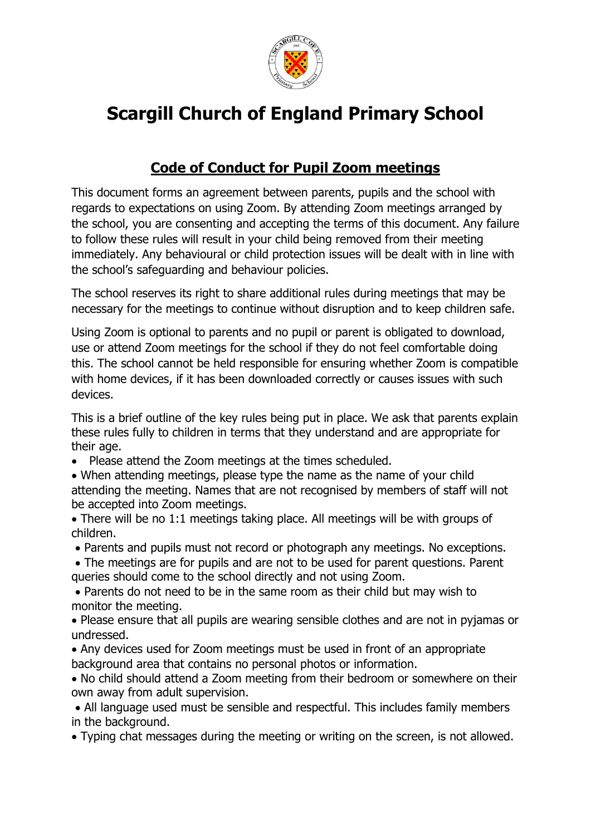

## **Scargill Church of England Primary School**

## **Code of Conduct for Pupil Zoom meetings**

This document forms an agreement between parents, pupils and the school with regards to expectations on using Zoom. By attending Zoom meetings arranged by the school, you are consenting and accepting the terms of this document. Any failure to follow these rules will result in your child being removed from their meeting immediately. Any behavioural or child protection issues will be dealt with in line with the school's safeguarding and behaviour policies.

The school reserves its right to share additional rules during meetings that may be necessary for the meetings to continue without disruption and to keep children safe.

Using Zoom is optional to parents and no pupil or parent is obligated to download, use or attend Zoom meetings for the school if they do not feel comfortable doing this. The school cannot be held responsible for ensuring whether Zoom is compatible with home devices, if it has been downloaded correctly or causes issues with such devices.

This is a brief outline of the key rules being put in place. We ask that parents explain these rules fully to children in terms that they understand and are appropriate for their age.

- Please attend the Zoom meetings at the times scheduled.
- When attending meetings, please type the name as the name of your child attending the meeting. Names that are not recognised by members of staff will not be accepted into Zoom meetings.
- There will be no 1:1 meetings taking place. All meetings will be with groups of children.
- Parents and pupils must not record or photograph any meetings. No exceptions.
- The meetings are for pupils and are not to be used for parent questions. Parent queries should come to the school directly and not using Zoom.

 Parents do not need to be in the same room as their child but may wish to monitor the meeting.

 Please ensure that all pupils are wearing sensible clothes and are not in pyjamas or undressed.

 Any devices used for Zoom meetings must be used in front of an appropriate background area that contains no personal photos or information.

 No child should attend a Zoom meeting from their bedroom or somewhere on their own away from adult supervision.

 All language used must be sensible and respectful. This includes family members in the background.

Typing chat messages during the meeting or writing on the screen, is not allowed.